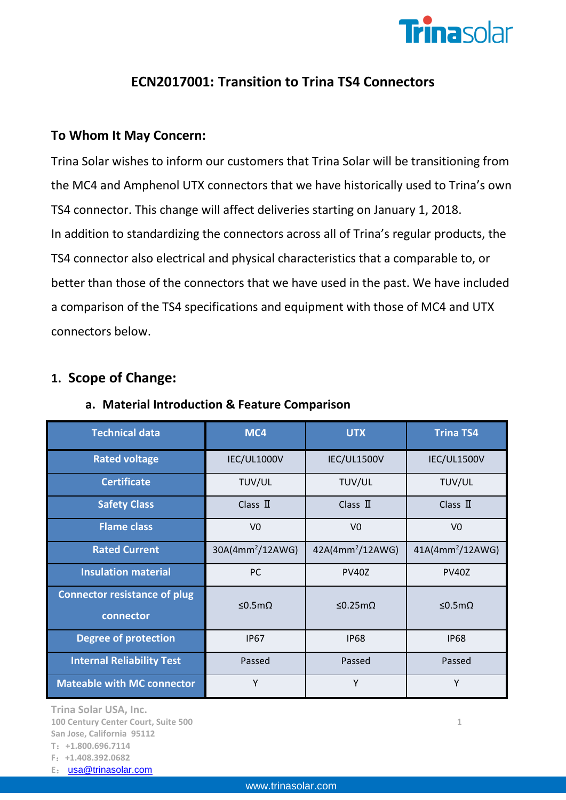

# **ECN2017001: Transition to Trina TS4 Connectors**

### **To Whom It May Concern:**

Trina Solar wishes to inform our customers that Trina Solar will be transitioning from the MC4 and Amphenol UTX connectors that we have historically used to Trina's own TS4 connector. This change will affect deliveries starting on January 1, 2018. In addition to standardizing the connectors across all of Trina's regular products, the TS4 connector also electrical and physical characteristics that a comparable to, or better than those of the connectors that we have used in the past. We have included a comparison of the TS4 specifications and equipment with those of MC4 and UTX connectors below.

### **1. Scope of Change:**

| <b>Technical data</b>                            | MC4                          | <b>UTX</b>            | <b>Trina TS4</b>   |
|--------------------------------------------------|------------------------------|-----------------------|--------------------|
| <b>Rated voltage</b>                             | IEC/UL1000V<br>IEC/UL1500V   |                       | IEC/UL1500V        |
| <b>Certificate</b>                               | TUV/UL<br>TUV/UL             |                       | TUV/UL             |
| <b>Safety Class</b>                              | Class $\mathbf I$            | Class $\mathbf I$     | Class $\mathbb I$  |
| <b>Flame class</b>                               | V <sub>0</sub>               | V <sub>0</sub>        | V <sub>0</sub>     |
| <b>Rated Current</b>                             | 30A(4mm <sup>2</sup> /12AWG) | $42A(4mm^2/12AWG)$    | $41A(4mm^2/12AWG)$ |
| <b>Insulation material</b>                       | PC                           | <b>PV40Z</b>          | <b>PV40Z</b>       |
| <b>Connector resistance of plug</b><br>connector | ≤0.5mΩ                       | $\leq$ 0.25m $\Omega$ | ≤0.5mΩ             |
| <b>Degree of protection</b>                      | <b>IP67</b>                  | <b>IP68</b>           | <b>IP68</b>        |
| <b>Internal Reliability Test</b>                 | Passed                       | Passed                | Passed             |
| <b>Mateable with MC connector</b>                | Y                            | Y                     | Υ                  |

#### **a. Material Introduction & Feature Comparison**

**Trina Solar USA, Inc.** 

**100 Century Center Court, Suite 500 1 San Jose, California 95112 T**:**+1.800.696.7114**

**F**:**+1.408.392.0682**

**E**: [usa@trinasolar.com](mailto:usa@trinasolar.com)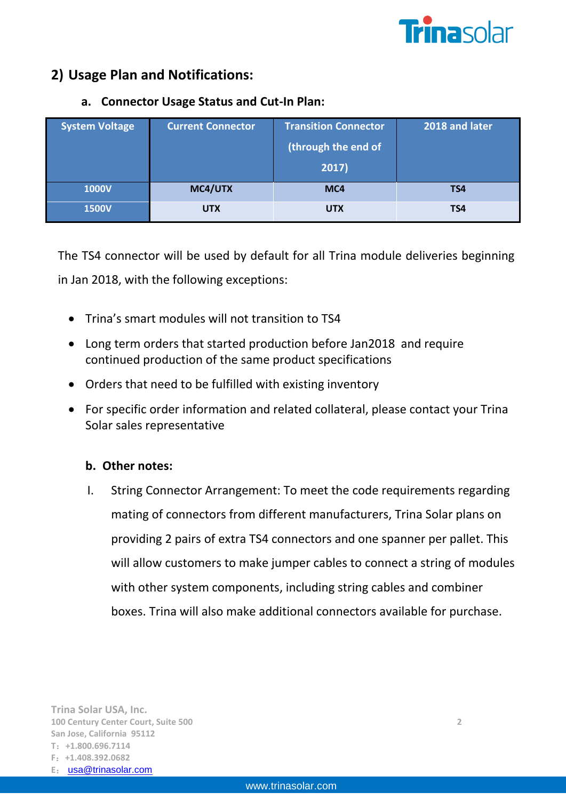

## **2) Usage Plan and Notifications:**

### **a. Connector Usage Status and Cut-In Plan:**

| <b>System Voltage</b> | <b>Current Connector</b> | <b>Transition Connector</b><br>(through the end of<br>2017) | 2018 and later |
|-----------------------|--------------------------|-------------------------------------------------------------|----------------|
| <b>1000V</b>          | MC4/UTX                  | MC4                                                         | TS4            |
| <b>1500V</b>          | <b>UTX</b>               | <b>UTX</b>                                                  | TS4            |

The TS4 connector will be used by default for all Trina module deliveries beginning in Jan 2018, with the following exceptions:

- Trina's smart modules will not transition to TS4
- Long term orders that started production before Jan2018 and require continued production of the same product specifications
- Orders that need to be fulfilled with existing inventory
- For specific order information and related collateral, please contact your Trina Solar sales representative

#### **b. Other notes:**

I. String Connector Arrangement: To meet the code requirements regarding mating of connectors from different manufacturers, Trina Solar plans on providing 2 pairs of extra TS4 connectors and one spanner per pallet. This will allow customers to make jumper cables to connect a string of modules with other system components, including string cables and combiner boxes. Trina will also make additional connectors available for purchase.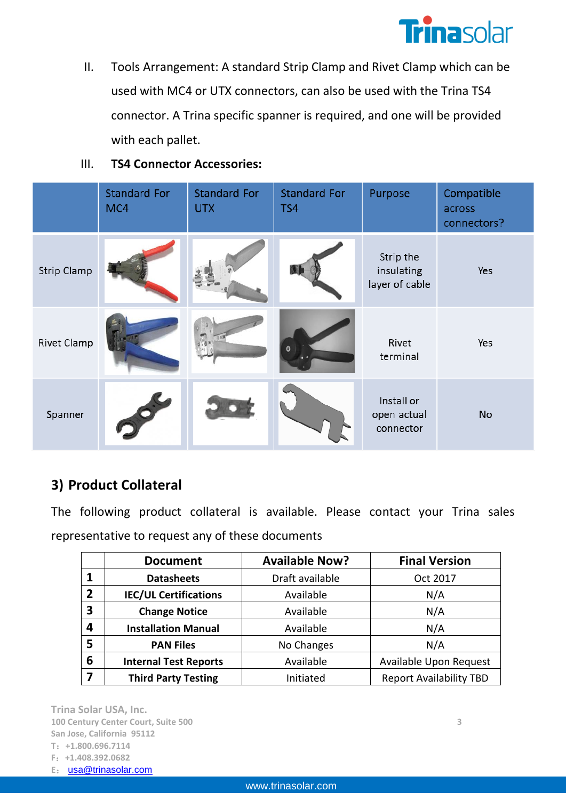

II. Tools Arrangement: A standard Strip Clamp and Rivet Clamp which can be used with MC4 or UTX connectors, can also be used with the Trina TS4 connector. A Trina specific spanner is required, and one will be provided with each pallet.

#### III. **TS4 Connector Accessories:**

|                    | <b>Standard For</b><br>MC4 | <b>Standard For</b><br><b>UTX</b> | <b>Standard For</b><br>TS4 | Purpose                                   | Compatible<br>across<br>connectors? |
|--------------------|----------------------------|-----------------------------------|----------------------------|-------------------------------------------|-------------------------------------|
| <b>Strip Clamp</b> |                            |                                   |                            | Strip the<br>insulating<br>layer of cable | Yes                                 |
| Rivet Clamp        |                            |                                   | Θ                          | Rivet<br>terminal                         | Yes                                 |
| Spanner            |                            |                                   |                            | Install or<br>open actual<br>connector    | <b>No</b>                           |

# **3) Product Collateral**

The following product collateral is available. Please contact your Trina sales representative to request any of these documents

|                | <b>Document</b>              | <b>Available Now?</b> | <b>Final Version</b>           |
|----------------|------------------------------|-----------------------|--------------------------------|
|                | <b>Datasheets</b>            | Draft available       | Oct 2017                       |
| $\overline{2}$ | <b>IEC/UL Certifications</b> | Available             | N/A                            |
| 3              | <b>Change Notice</b>         | Available             | N/A                            |
| 4              | <b>Installation Manual</b>   | Available             | N/A                            |
| 5              | <b>PAN Files</b>             | No Changes            | N/A                            |
| 6              | <b>Internal Test Reports</b> | Available             | Available Upon Request         |
|                | <b>Third Party Testing</b>   | Initiated             | <b>Report Availability TBD</b> |

**Trina Solar USA, Inc. 100 Century Center Court, Suite 500 3 San Jose, California 95112 T**:**+1.800.696.7114 F**:**+1.408.392.0682**

**E**: [usa@trinasolar.com](mailto:usa@trinasolar.com)